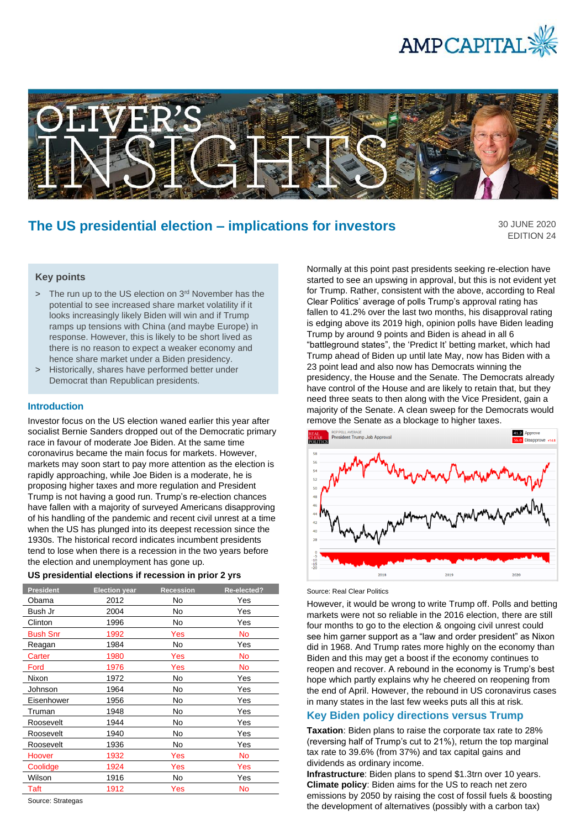



# **The US presidential election – implications for investors**

30 JUNE 2020 EDITION 24

# **Key points**

- > The run up to the US election on 3<sup>rd</sup> November has the potential to see increased share market volatility if it looks increasingly likely Biden will win and if Trump ramps up tensions with China (and maybe Europe) in response. However, this is likely to be short lived as there is no reason to expect a weaker economy and hence share market under a Biden presidency.
- > Historically, shares have performed better under Democrat than Republican presidents.

#### **Introduction**

Investor focus on the US election waned earlier this year after socialist Bernie Sanders dropped out of the Democratic primary race in favour of moderate Joe Biden. At the same time coronavirus became the main focus for markets. However, markets may soon start to pay more attention as the election is rapidly approaching, while Joe Biden is a moderate, he is proposing higher taxes and more regulation and President Trump is not having a good run. Trump's re-election chances have fallen with a majority of surveyed Americans disapproving of his handling of the pandemic and recent civil unrest at a time when the US has plunged into its deepest recession since the 1930s. The historical record indicates incumbent presidents tend to lose when there is a recession in the two years before the election and unemployment has gone up.

| <b>President</b> | <b>Election year</b> | <b>Recession</b> | Re-elected? |
|------------------|----------------------|------------------|-------------|
| Obama            | 2012                 | No               | Yes         |
| Bush Jr          | 2004                 | No               | Yes         |
| Clinton          | 1996                 | No               | Yes         |
| <b>Bush Snr</b>  | 1992                 | Yes              | No          |
| Reagan           | 1984                 | No               | Yes         |
| Carter           | 1980                 | Yes              | No          |
| Ford             | 1976                 | Yes              | No          |
| Nixon            | 1972                 | No               | Yes         |
| Johnson          | 1964                 | No               | Yes         |
| Eisenhower       | 1956                 | No               | Yes         |
| Truman           | 1948                 | No               | Yes         |
| Roosevelt        | 1944                 | No               | Yes         |
| Roosevelt        | 1940                 | No               | Yes         |
| Roosevelt        | 1936                 | No               | Yes         |
| Hoover           | 1932                 | Yes              | No          |
| Coolidge         | 1924                 | Yes              | Yes         |
| Wilson           | 1916                 | N <sub>o</sub>   | Yes         |
| Taft             | 1912                 | Yes              | No          |

Source: Strategas

Normally at this point past presidents seeking re-election have started to see an upswing in approval, but this is not evident yet for Trump. Rather, consistent with the above, according to Real Clear Politics' average of polls Trump's approval rating has fallen to 41.2% over the last two months, his disapproval rating is edging above its 2019 high, opinion polls have Biden leading Trump by around 9 points and Biden is ahead in all 6 "battleground states", the 'Predict It' betting market, which had Trump ahead of Biden up until late May, now has Biden with a 23 point lead and also now has Democrats winning the presidency, the House and the Senate. The Democrats already have control of the House and are likely to retain that, but they need three seats to then along with the Vice President, gain a majority of the Senate. A clean sweep for the Democrats would remove the Senate as a blockage to higher taxes.



#### Source: Real Clear Politics

However, it would be wrong to write Trump off. Polls and betting markets were not so reliable in the 2016 election, there are still four months to go to the election & ongoing civil unrest could see him garner support as a "law and order president" as Nixon did in 1968. And Trump rates more highly on the economy than Biden and this may get a boost if the economy continues to reopen and recover. A rebound in the economy is Trump's best hope which partly explains why he cheered on reopening from the end of April. However, the rebound in US coronavirus cases in many states in the last few weeks puts all this at risk.

## **Key Biden policy directions versus Trump**

**Taxation**: Biden plans to raise the corporate tax rate to 28% (reversing half of Trump's cut to 21%), return the top marginal tax rate to 39.6% (from 37%) and tax capital gains and dividends as ordinary income.

**Infrastructure**: Biden plans to spend \$1.3trn over 10 years. **Climate policy**: Biden aims for the US to reach net zero emissions by 2050 by raising the cost of fossil fuels & boosting the development of alternatives (possibly with a carbon tax)